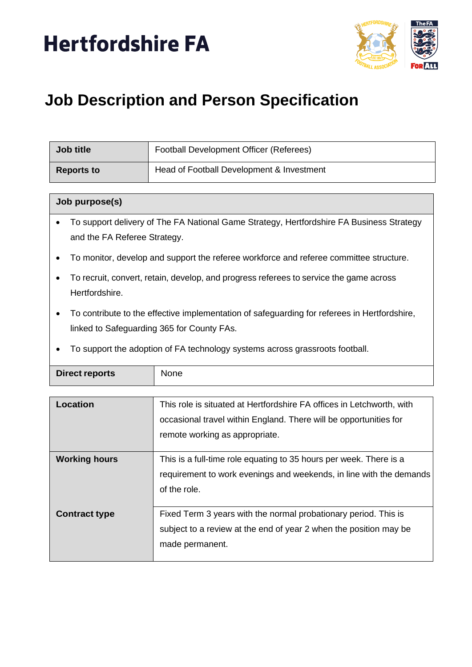



# **Job Description and Person Specification**

| Job title  | Football Development Officer (Referees)   |
|------------|-------------------------------------------|
| Reports to | Head of Football Development & Investment |

#### **Job purpose(s)**

- To support delivery of The FA National Game Strategy, Hertfordshire FA Business Strategy and the FA Referee Strategy.
- To monitor, develop and support the referee workforce and referee committee structure.
- To recruit, convert, retain, develop, and progress referees to service the game across Hertfordshire.
- To contribute to the effective implementation of safeguarding for referees in Hertfordshire, linked to Safeguarding 365 for County FAs.
- To support the adoption of FA technology systems across grassroots football.

| Direct reports | None |
|----------------|------|
|                |      |

| Location             | This role is situated at Hertfordshire FA offices in Letchworth, with<br>occasional travel within England. There will be opportunities for<br>remote working as appropriate. |
|----------------------|------------------------------------------------------------------------------------------------------------------------------------------------------------------------------|
|                      |                                                                                                                                                                              |
| <b>Working hours</b> | This is a full-time role equating to 35 hours per week. There is a                                                                                                           |
|                      | requirement to work evenings and weekends, in line with the demands                                                                                                          |
|                      | of the role.                                                                                                                                                                 |
| <b>Contract type</b> | Fixed Term 3 years with the normal probationary period. This is                                                                                                              |
|                      | subject to a review at the end of year 2 when the position may be                                                                                                            |
|                      | made permanent.                                                                                                                                                              |
|                      |                                                                                                                                                                              |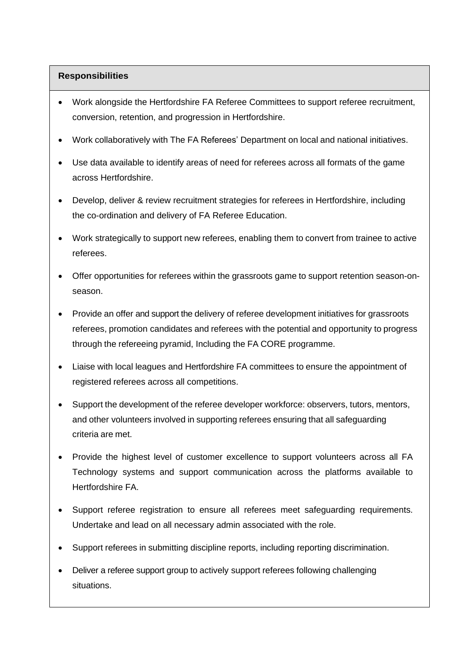# **Responsibilities**

- Work alongside the Hertfordshire FA Referee Committees to support referee recruitment, conversion, retention, and progression in Hertfordshire.
- Work collaboratively with The FA Referees' Department on local and national initiatives.
- Use data available to identify areas of need for referees across all formats of the game across Hertfordshire.
- Develop, deliver & review recruitment strategies for referees in Hertfordshire, including the co-ordination and delivery of FA Referee Education.
- Work strategically to support new referees, enabling them to convert from trainee to active referees.
- Offer opportunities for referees within the grassroots game to support retention season-onseason.
- Provide an offer and support the delivery of referee development initiatives for grassroots referees, promotion candidates and referees with the potential and opportunity to progress through the refereeing pyramid, Including the FA CORE programme.
- Liaise with local leagues and Hertfordshire FA committees to ensure the appointment of registered referees across all competitions.
- Support the development of the referee developer workforce: observers, tutors, mentors, and other volunteers involved in supporting referees ensuring that all safeguarding criteria are met.
- Provide the highest level of customer excellence to support volunteers across all FA Technology systems and support communication across the platforms available to Hertfordshire FA.
- Support referee registration to ensure all referees meet safeguarding requirements. Undertake and lead on all necessary admin associated with the role.
- Support referees in submitting discipline reports, including reporting discrimination.
- Deliver a referee support group to actively support referees following challenging situations.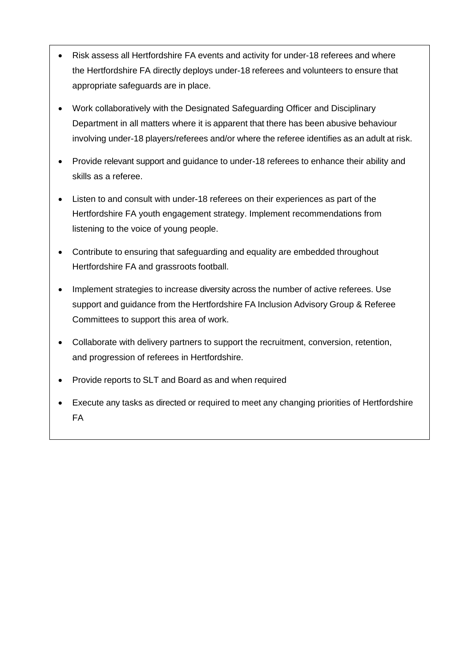- Risk assess all Hertfordshire FA events and activity for under-18 referees and where the Hertfordshire FA directly deploys under-18 referees and volunteers to ensure that appropriate safeguards are in place.
- Work collaboratively with the Designated Safeguarding Officer and Disciplinary Department in all matters where it is apparent that there has been abusive behaviour involving under-18 players/referees and/or where the referee identifies as an adult at risk.
- Provide relevant support and guidance to under-18 referees to enhance their ability and skills as a referee.
- Listen to and consult with under-18 referees on their experiences as part of the Hertfordshire FA youth engagement strategy. Implement recommendations from listening to the voice of young people.
- Contribute to ensuring that safeguarding and equality are embedded throughout Hertfordshire FA and grassroots football.
- Implement strategies to increase diversity across the number of active referees. Use support and guidance from the Hertfordshire FA Inclusion Advisory Group & Referee Committees to support this area of work.
- Collaborate with delivery partners to support the recruitment, conversion, retention, and progression of referees in Hertfordshire.
- Provide reports to SLT and Board as and when required
- Execute any tasks as directed or required to meet any changing priorities of Hertfordshire FA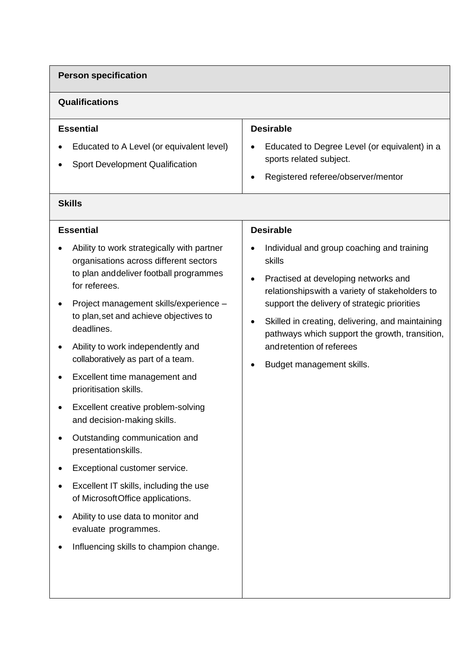# **Person specification**

# **Qualifications**

| <b>Essential</b>                                                                    | <b>Desirable</b>                                                                                                                         |
|-------------------------------------------------------------------------------------|------------------------------------------------------------------------------------------------------------------------------------------|
| Educated to A Level (or equivalent level)<br><b>Sport Development Qualification</b> | Educated to Degree Level (or equivalent) in a<br>$\bullet$<br>sports related subject.<br>Registered referee/observer/mentor<br>$\bullet$ |

# **Skills**

# **Essential**

- Ability to work strategically with partner organisations across different sectors to plan anddeliver football programmes for referees.
- Project management skills/experience to plan,set and achieve objectives to deadlines.
- Ability to work independently and collaboratively as part of a team.
- Excellent time management and prioritisation skills.
- Excellent creative problem-solving and decision-making skills.
- Outstanding communication and presentationskills.
- Exceptional customer service.
- Excellent IT skills, including the use of MicrosoftOffice applications.
- Ability to use data to monitor and evaluate programmes.
- Influencing skills to champion change.

# **Desirable**

- Individual and group coaching and training skills
- Practised at developing networks and relationshipswith a variety of stakeholders to support the delivery of strategic priorities
- Skilled in creating, delivering, and maintaining pathways which support the growth, transition, andretention of referees
- Budget management skills.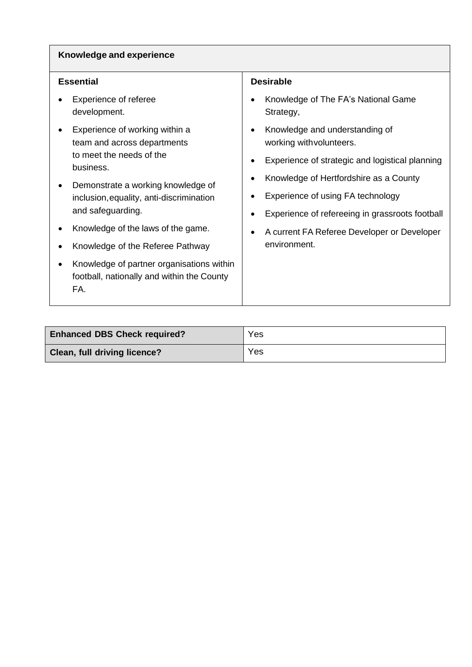### **Knowledge and experience**

| Essential |
|-----------|
|-----------|

- Experience of referee development.
- Experience of working within a team and across departments to meet the needs of the business.
- Demonstrate a working knowledge of inclusion,equality, anti-discrimination and safeguarding.
- Knowledge of the laws of the game.
- Knowledge of the Referee Pathway
- Knowledge of partner organisations within football, nationally and within the County FA.

#### **Desirable**

- Knowledge of The FA's National Game Strategy,
- Knowledge and understanding of working withvolunteers.
- Experience of strategic and logistical planning
- Knowledge of Hertfordshire as a County
- Experience of using FA technology
- Experience of refereeing in grassroots football
- A current FA Referee Developer or Developer environment.

| <b>Enhanced DBS Check required?</b> | Yes |
|-------------------------------------|-----|
| Clean, full driving licence?        | Yes |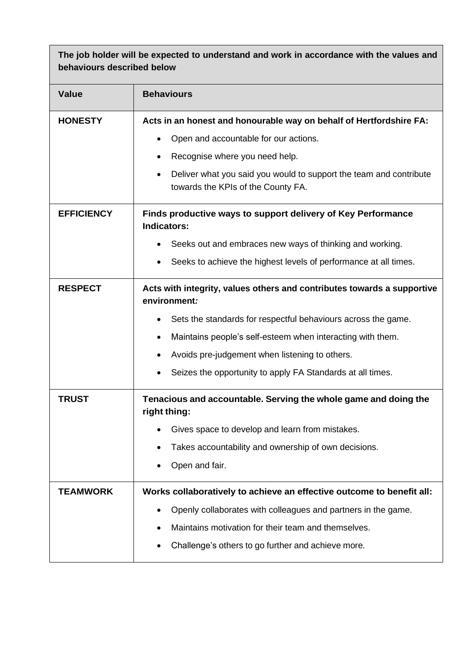**The job holder will be expected to understand and work in accordance with the values and behaviours described below**

| <b>Value</b>      | <b>Behaviours</b>                                                                                                     |  |
|-------------------|-----------------------------------------------------------------------------------------------------------------------|--|
| <b>HONESTY</b>    | Acts in an honest and honourable way on behalf of Hertfordshire FA:                                                   |  |
|                   | Open and accountable for our actions.                                                                                 |  |
|                   | Recognise where you need help.                                                                                        |  |
|                   | Deliver what you said you would to support the team and contribute<br>$\bullet$<br>towards the KPIs of the County FA. |  |
| <b>EFFICIENCY</b> | Finds productive ways to support delivery of Key Performance<br><b>Indicators:</b>                                    |  |
|                   | Seeks out and embraces new ways of thinking and working.                                                              |  |
|                   | Seeks to achieve the highest levels of performance at all times.                                                      |  |
| <b>RESPECT</b>    | Acts with integrity, values others and contributes towards a supportive<br>environment:                               |  |
|                   | Sets the standards for respectful behaviours across the game.                                                         |  |
|                   | Maintains people's self-esteem when interacting with them.                                                            |  |
|                   | Avoids pre-judgement when listening to others.                                                                        |  |
|                   | Seizes the opportunity to apply FA Standards at all times.                                                            |  |
| <b>TRUST</b>      | Tenacious and accountable. Serving the whole game and doing the<br>right thing:                                       |  |
|                   | Gives space to develop and learn from mistakes.                                                                       |  |
|                   | Takes accountability and ownership of own decisions.                                                                  |  |
|                   | Open and fair.                                                                                                        |  |
| <b>TEAMWORK</b>   | Works collaboratively to achieve an effective outcome to benefit all:                                                 |  |
|                   | Openly collaborates with colleagues and partners in the game.                                                         |  |
|                   | Maintains motivation for their team and themselves.                                                                   |  |
|                   | Challenge's others to go further and achieve more.                                                                    |  |